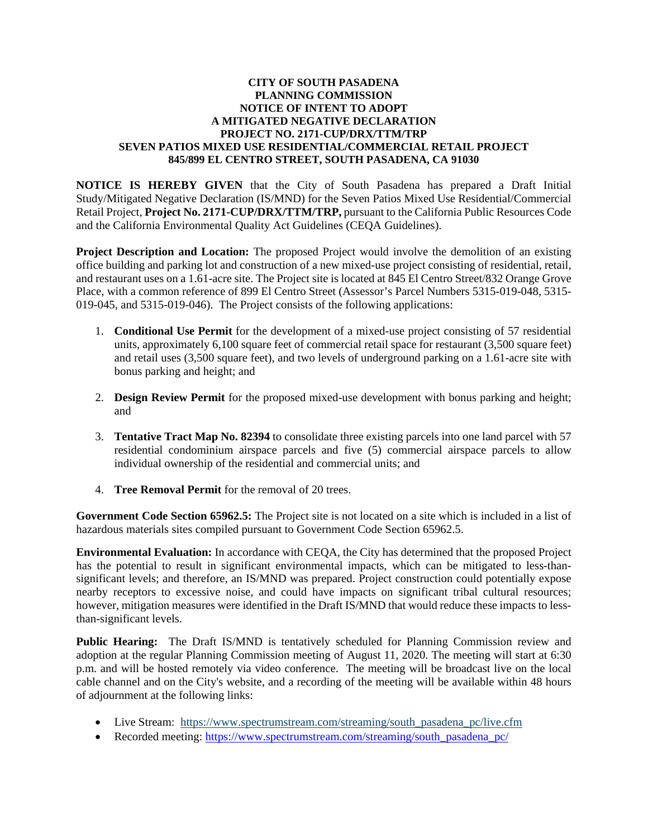## **CITY OF SOUTH PASADENA PLANNING COMMISSION NOTICE OF INTENT TO ADOPT A MITIGATED NEGATIVE DECLARATION PROJECT NO. 2171-CUP/DRX/TTM/TRP SEVEN PATIOS MIXED USE RESIDENTIAL/COMMERCIAL RETAIL PROJECT 845/899 EL CENTRO STREET, SOUTH PASADENA, CA 91030**

**NOTICE IS HEREBY GIVEN** that the City of South Pasadena has prepared a Draft Initial Study/Mitigated Negative Declaration (IS/MND) for the Seven Patios Mixed Use Residential/Commercial Retail Project, **Project No. 2171-CUP/DRX/TTM/TRP,** pursuant to the California Public Resources Code and the California Environmental Quality Act Guidelines (CEQA Guidelines).

**Project Description and Location:** The proposed Project would involve the demolition of an existing office building and parking lot and construction of a new mixed-use project consisting of residential, retail, and restaurant uses on a 1.61-acre site. The Project site is located at 845 El Centro Street/832 Orange Grove Place, with a common reference of 899 El Centro Street (Assessor's Parcel Numbers 5315-019-048, 5315- 019-045, and 5315-019-046). The Project consists of the following applications:

- 1. **Conditional Use Permit** for the development of a mixed-use project consisting of 57 residential units, approximately 6,100 square feet of commercial retail space for restaurant (3,500 square feet) and retail uses (3,500 square feet), and two levels of underground parking on a 1.61-acre site with bonus parking and height; and
- 2. **Design Review Permit** for the proposed mixed-use development with bonus parking and height; and
- 3. **Tentative Tract Map No. 82394** to consolidate three existing parcels into one land parcel with 57 residential condominium airspace parcels and five (5) commercial airspace parcels to allow individual ownership of the residential and commercial units; and
- 4. **Tree Removal Permit** for the removal of 20 trees.

**Government Code Section 65962.5:** The Project site is not located on a site which is included in a list of hazardous materials sites compiled pursuant to Government Code Section 65962.5.

**Environmental Evaluation:** In accordance with CEQA, the City has determined that the proposed Project has the potential to result in significant environmental impacts, which can be mitigated to less-thansignificant levels; and therefore, an IS/MND was prepared. Project construction could potentially expose nearby receptors to excessive noise, and could have impacts on significant tribal cultural resources; however, mitigation measures were identified in the Draft IS/MND that would reduce these impacts to lessthan-significant levels.

**Public Hearing:** The Draft IS/MND is tentatively scheduled for Planning Commission review and adoption at the regular Planning Commission meeting of August 11, 2020. The meeting will start at 6:30 p.m. and will be hosted remotely via video conference. The meeting will be broadcast live on the local cable channel and on the City's website, and a recording of the meeting will be available within 48 hours of adjournment at the following links:

- Live Stream: https://www.spectrumstream.com/streaming/south pasadena pc/live.cfm
- Recorded meeting: [https://www.spectrumstream.com/streaming/south\\_pasadena\\_pc/](https://www.spectrumstream.com/streaming/south_pasadena_pc/)